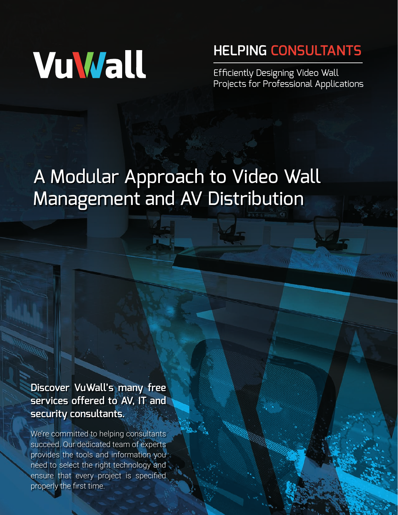# VuWall

# **HELPING CONSULTANTS**

Efficiently Designing Video Wall [Projects for Professional Applications](https://vuwall.com/partners/consultants/)

# A Modular Approach to Video Wall Management and AV Distribution

**Discover VuWall's many free services offered to AV, IT and security consultants.** 

We're committed to helping consultants succeed. Our dedicated team of experts provides the tools and information you need to select the right technology and ensure that every project is specified properly the first time.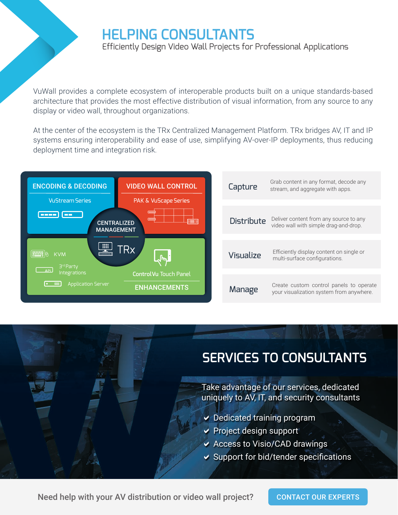# **[HELPING CONSULTANTS](https://vuwall.com/partners/consultants/)**

Efficiently Design Video Wall Projects for Professional Applications

VuWall provides a complete ecosystem of interoperable products built on a unique standards-based architecture that provides the most effective distribution of visual information, from any source to any display or video wall, throughout organizations.

At the center of the ecosystem is the TRx Centralized Management Platform. TRx bridges AV, IT and IP systems ensuring interoperability and ease of use, simplifying AV-over-IP deployments, thus reducing deployment time and integration risk.



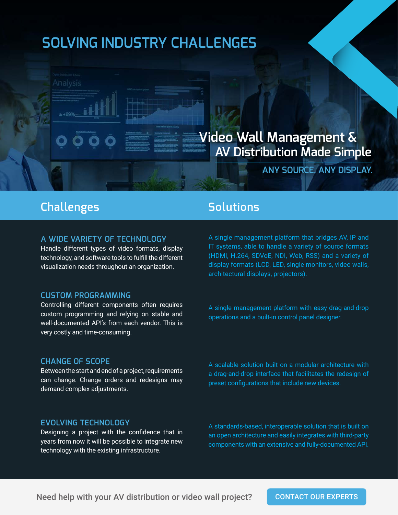# **SOLVING INDUSTRY CHALLENGES**

## **Video Wall Management & AV Distribution Made Simple**

**ANY SOURCE. ANY DISPLAY.**

### **Challenges Solutions**

 $4 + 89% -$ 

#### **A WIDE VARIETY OF TECHNOLOGY**

Handle different types of video formats, display technology, and software tools to fulfill the different visualization needs throughout an organization.

#### **CUSTOM PROGRAMMING**

Controlling different components often requires custom programming and relying on stable and well-documented API's from each vendor. This is very costly and time-consuming.

#### **CHANGE OF SCOPE**

Between the start and end of a project, requirements can change. Change orders and redesigns may demand complex adjustments.

A single management platform that bridges AV, IP and IT systems, able to handle a variety of source formats (HDMI, H.264, SDVoE, NDI, Web, RSS) and a variety of display formats (LCD, LED, single monitors, video walls, architectural displays, projectors).

A single management platform with easy drag-and-drop operations and a built-in control panel designer.

A scalable solution built on a modular architecture with a drag-and-drop interface that facilitates the redesign of preset configurations that include new devices.

#### **EVOLVING TECHNOLOGY**

Designing a project with the confidence that in years from now it will be possible to integrate new technology with the existing infrastructure.

A standards-based, interoperable solution that is built on an open architecture and easily integrates with third-party components with an extensive and fully-documented API.